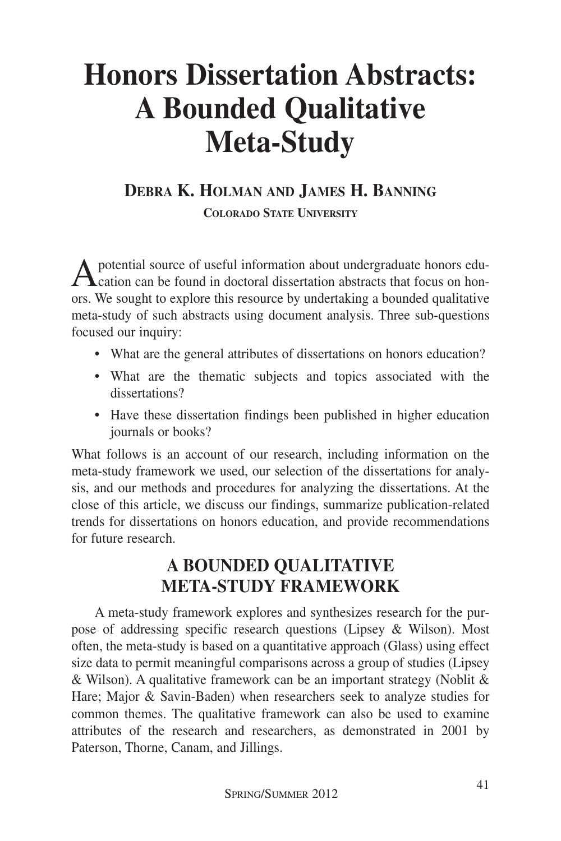# **Honors Dissertation Abstracts: A Bounded Qualitative Meta-Study**

## **DEBRA K. HOLMAN AND JAMES H. BANNING COLORADO STATE UNIVERSITY**

Apotential source of useful information about undergraduate honors edu- $\Gamma$  cation can be found in doctoral dissertation abstracts that focus on honors. We sought to explore this resource by undertaking a bounded qualitative meta-study of such abstracts using document analysis. Three sub-questions focused our inquiry:

- What are the general attributes of dissertations on honors education?
- What are the thematic subjects and topics associated with the dissertations?
- Have these dissertation findings been published in higher education journals or books?

What follows is an account of our research, including information on the meta-study framework we used, our selection of the dissertations for analysis, and our methods and procedures for analyzing the dissertations. At the close of this article, we discuss our findings, summarize publication-related trends for dissertations on honors education, and provide recommendations for future research.

# **A BOUNDED QUALITATIVE META-STUDY FRAMEWORK**

A meta-study framework explores and synthesizes research for the purpose of addressing specific research questions (Lipsey & Wilson). Most often, the meta-study is based on a quantitative approach (Glass) using effect size data to permit meaningful comparisons across a group of studies (Lipsey & Wilson). A qualitative framework can be an important strategy (Noblit & Hare; Major & Savin-Baden) when researchers seek to analyze studies for common themes. The qualitative framework can also be used to examine attributes of the research and researchers, as demonstrated in 2001 by Paterson, Thorne, Canam, and Jillings.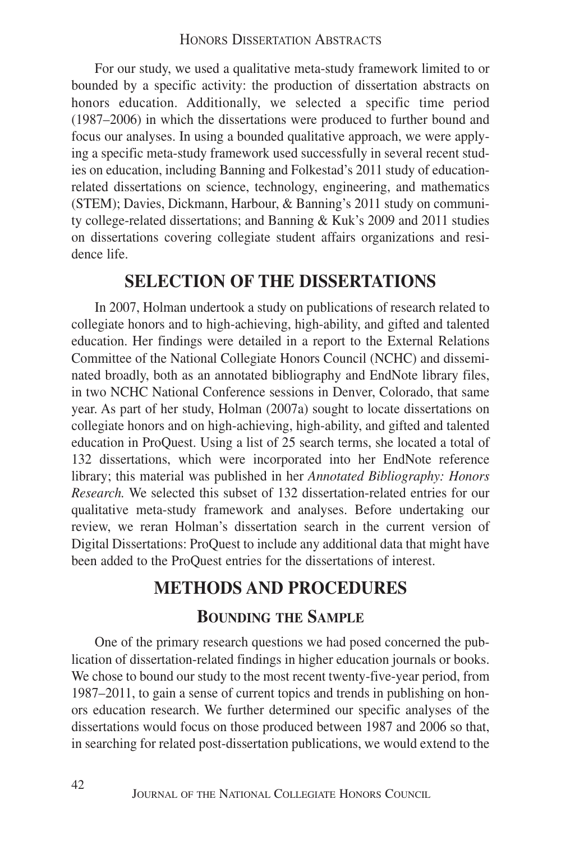For our study, we used a qualitative meta-study framework limited to or bounded by a specific activity: the production of dissertation abstracts on honors education. Additionally, we selected a specific time period (1987–2006) in which the dissertations were produced to further bound and focus our analyses. In using a bounded qualitative approach, we were applying a specific meta-study framework used successfully in several recent studies on education, including Banning and Folkestad's 2011 study of educationrelated dissertations on science, technology, engineering, and mathematics (STEM); Davies, Dickmann, Harbour, & Banning's 2011 study on community college-related dissertations; and Banning & Kuk's 2009 and 2011 studies on dissertations covering collegiate student affairs organizations and residence life.

#### **SELECTION OF THE DISSERTATIONS**

In 2007, Holman undertook a study on publications of research related to collegiate honors and to high-achieving, high-ability, and gifted and talented education. Her findings were detailed in a report to the External Relations Committee of the National Collegiate Honors Council (NCHC) and disseminated broadly, both as an annotated bibliography and EndNote library files, in two NCHC National Conference sessions in Denver, Colorado, that same year. As part of her study, Holman (2007a) sought to locate dissertations on collegiate honors and on high-achieving, high-ability, and gifted and talented education in ProQuest. Using a list of 25 search terms, she located a total of 132 dissertations, which were incorporated into her EndNote reference library; this material was published in her *Annotated Bibliography: Honors Research.* We selected this subset of 132 dissertation-related entries for our qualitative meta-study framework and analyses. Before undertaking our review, we reran Holman's dissertation search in the current version of Digital Dissertations: ProQuest to include any additional data that might have been added to the ProQuest entries for the dissertations of interest.

## **METHODS AND PROCEDURES**

#### **BOUNDING THE SAMPLE**

One of the primary research questions we had posed concerned the publication of dissertation-related findings in higher education journals or books. We chose to bound our study to the most recent twenty-five-year period, from 1987–2011, to gain a sense of current topics and trends in publishing on honors education research. We further determined our specific analyses of the dissertations would focus on those produced between 1987 and 2006 so that, in searching for related post-dissertation publications, we would extend to the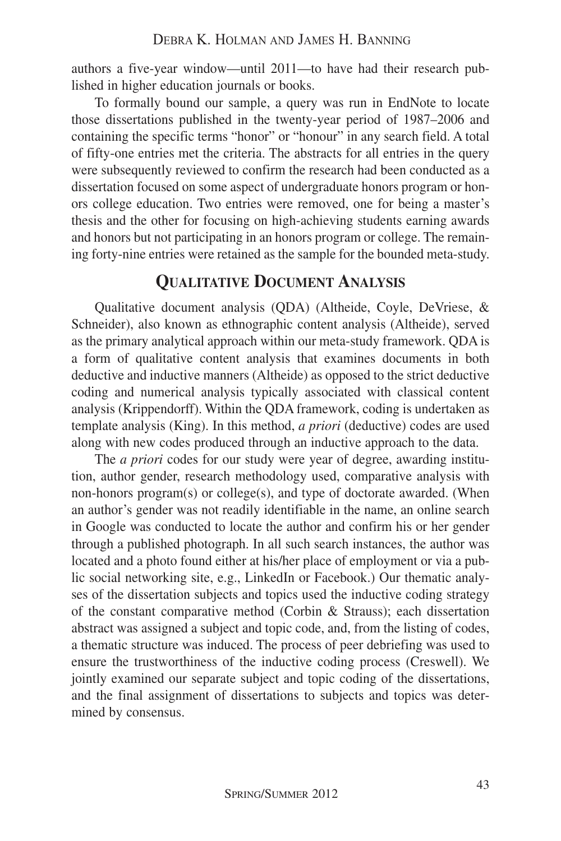authors a five-year window—until 2011—to have had their research published in higher education journals or books.

To formally bound our sample, a query was run in EndNote to locate those dissertations published in the twenty-year period of 1987–2006 and containing the specific terms "honor" or "honour" in any search field. A total of fifty-one entries met the criteria. The abstracts for all entries in the query were subsequently reviewed to confirm the research had been conducted as a dissertation focused on some aspect of undergraduate honors program or honors college education. Two entries were removed, one for being a master's thesis and the other for focusing on high-achieving students earning awards and honors but not participating in an honors program or college. The remaining forty-nine entries were retained as the sample for the bounded meta-study.

#### **QUALITATIVE DOCUMENT ANALYSIS**

Qualitative document analysis (QDA) (Altheide, Coyle, DeVriese, & Schneider), also known as ethnographic content analysis (Altheide), served as the primary analytical approach within our meta-study framework. QDA is a form of qualitative content analysis that examines documents in both deductive and inductive manners (Altheide) as opposed to the strict deductive coding and numerical analysis typically associated with classical content analysis (Krippendorff). Within the QDA framework, coding is undertaken as template analysis (King). In this method, *a priori* (deductive) codes are used along with new codes produced through an inductive approach to the data.

The *a priori* codes for our study were year of degree, awarding institution, author gender, research methodology used, comparative analysis with non-honors program(s) or college(s), and type of doctorate awarded. (When an author's gender was not readily identifiable in the name, an online search in Google was conducted to locate the author and confirm his or her gender through a published photograph. In all such search instances, the author was located and a photo found either at his/her place of employment or via a public social networking site, e.g., LinkedIn or Facebook.) Our thematic analyses of the dissertation subjects and topics used the inductive coding strategy of the constant comparative method (Corbin & Strauss); each dissertation abstract was assigned a subject and topic code, and, from the listing of codes, a thematic structure was induced. The process of peer debriefing was used to ensure the trustworthiness of the inductive coding process (Creswell). We jointly examined our separate subject and topic coding of the dissertations, and the final assignment of dissertations to subjects and topics was determined by consensus.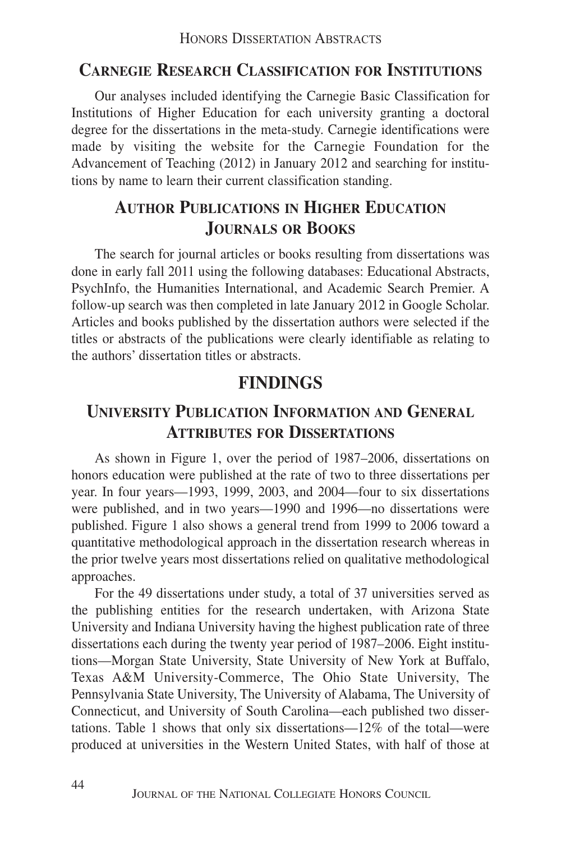#### **CARNEGIE RESEARCH CLASSIFICATION FOR INSTITUTIONS**

Our analyses included identifying the Carnegie Basic Classification for Institutions of Higher Education for each university granting a doctoral degree for the dissertations in the meta-study. Carnegie identifications were made by visiting the website for the Carnegie Foundation for the Advancement of Teaching (2012) in January 2012 and searching for institutions by name to learn their current classification standing.

## **AUTHOR PUBLICATIONS IN HIGHER EDUCATION JOURNALS OR BOOKS**

The search for journal articles or books resulting from dissertations was done in early fall 2011 using the following databases: Educational Abstracts, PsychInfo, the Humanities International, and Academic Search Premier. A follow-up search was then completed in late January 2012 in Google Scholar. Articles and books published by the dissertation authors were selected if the titles or abstracts of the publications were clearly identifiable as relating to the authors' dissertation titles or abstracts.

## **FINDINGS**

## **UNIVERSITY PUBLICATION INFORMATION AND GENERAL ATTRIBUTES FOR DISSERTATIONS**

As shown in Figure 1, over the period of 1987–2006, dissertations on honors education were published at the rate of two to three dissertations per year. In four years—1993, 1999, 2003, and 2004—four to six dissertations were published, and in two years—1990 and 1996—no dissertations were published. Figure 1 also shows a general trend from 1999 to 2006 toward a quantitative methodological approach in the dissertation research whereas in the prior twelve years most dissertations relied on qualitative methodological approaches.

For the 49 dissertations under study, a total of 37 universities served as the publishing entities for the research undertaken, with Arizona State University and Indiana University having the highest publication rate of three dissertations each during the twenty year period of 1987–2006. Eight institutions—Morgan State University, State University of New York at Buffalo, Texas A&M University-Commerce, The Ohio State University, The Pennsylvania State University, The University of Alabama, The University of Connecticut, and University of South Carolina—each published two dissertations. Table 1 shows that only six dissertations—12% of the total—were produced at universities in the Western United States, with half of those at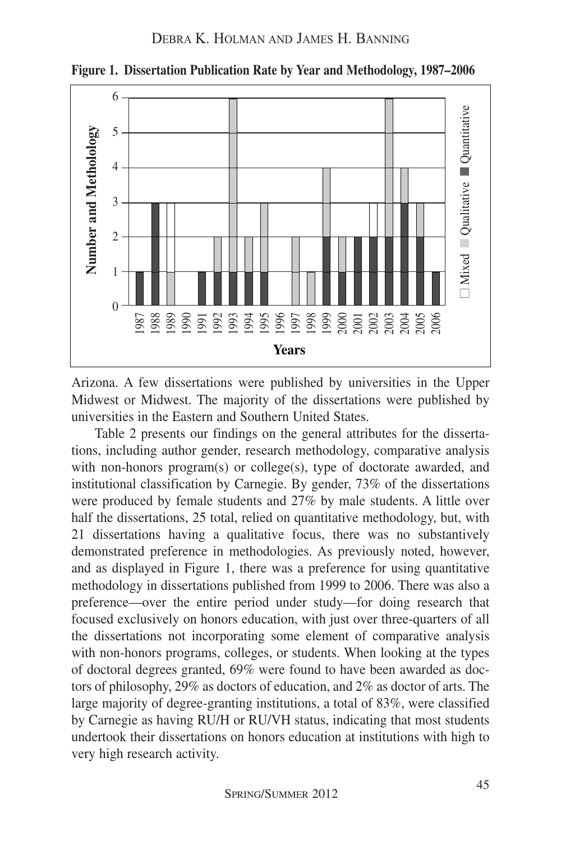

**Figure 1. Dissertation Publication Rate by Year and Methodology, 1987–2006**

Arizona. A few dissertations were published by universities in the Upper Midwest or Midwest. The majority of the dissertations were published by universities in the Eastern and Southern United States.

Table 2 presents our findings on the general attributes for the dissertations, including author gender, research methodology, comparative analysis with non-honors program(s) or college(s), type of doctorate awarded, and institutional classification by Carnegie. By gender, 73% of the dissertations were produced by female students and 27% by male students. A little over half the dissertations, 25 total, relied on quantitative methodology, but, with 21 dissertations having a qualitative focus, there was no substantively demonstrated preference in methodologies. As previously noted, however, and as displayed in Figure 1, there was a preference for using quantitative methodology in dissertations published from 1999 to 2006. There was also a preference—over the entire period under study—for doing research that focused exclusively on honors education, with just over three-quarters of all the dissertations not incorporating some element of comparative analysis with non-honors programs, colleges, or students. When looking at the types of doctoral degrees granted, 69% were found to have been awarded as doctors of philosophy, 29% as doctors of education, and 2% as doctor of arts. The large majority of degree-granting institutions, a total of 83%, were classified by Carnegie as having RU/H or RU/VH status, indicating that most students undertook their dissertations on honors education at institutions with high to very high research activity.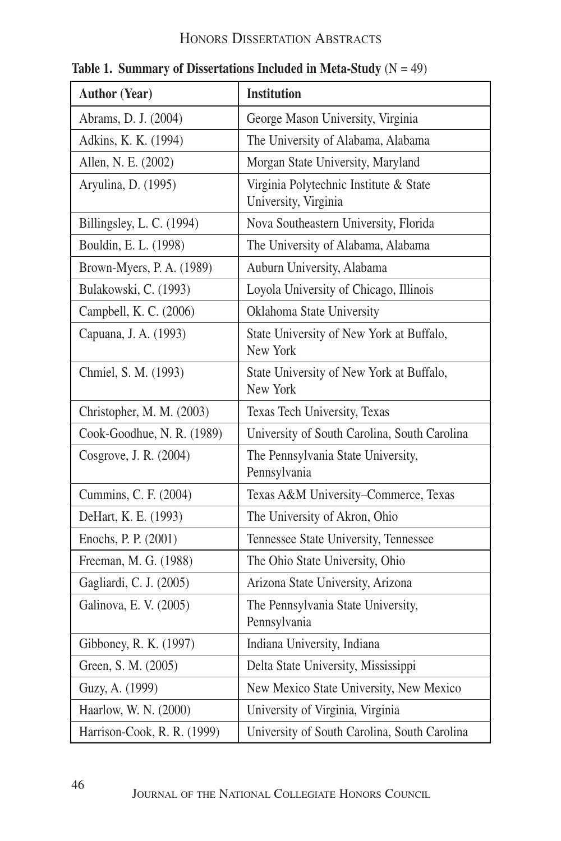## HONORS DISSERTATION ABSTRACTS

| <b>Author (Year)</b>        | <b>Institution</b>                                             |
|-----------------------------|----------------------------------------------------------------|
| Abrams, D. J. (2004)        | George Mason University, Virginia                              |
| Adkins, K. K. (1994)        | The University of Alabama, Alabama                             |
| Allen, N. E. (2002)         | Morgan State University, Maryland                              |
| Aryulina, D. (1995)         | Virginia Polytechnic Institute & State<br>University, Virginia |
| Billingsley, L. C. (1994)   | Nova Southeastern University, Florida                          |
| Bouldin, E. L. (1998)       | The University of Alabama, Alabama                             |
| Brown-Myers, P. A. (1989)   | Auburn University, Alabama                                     |
| Bulakowski, C. (1993)       | Loyola University of Chicago, Illinois                         |
| Campbell, K. C. (2006)      | Oklahoma State University                                      |
| Capuana, J. A. (1993)       | State University of New York at Buffalo,<br>New York           |
| Chmiel, S. M. (1993)        | State University of New York at Buffalo,<br>New York           |
| Christopher, M. M. (2003)   | Texas Tech University, Texas                                   |
| Cook-Goodhue, N. R. (1989)  | University of South Carolina, South Carolina                   |
| Cosgrove, J. R. (2004)      | The Pennsylvania State University,<br>Pennsylvania             |
| Cummins, C. F. (2004)       | Texas A&M University-Commerce, Texas                           |
| DeHart, K. E. (1993)        | The University of Akron, Ohio                                  |
| Enochs, P. P. (2001)        | Tennessee State University, Tennessee                          |
| Freeman, M. G. (1988)       | The Ohio State University, Ohio                                |
| Gagliardi, C. J. (2005)     | Arizona State University, Arizona                              |
| Galinova, E. V. (2005)      | The Pennsylvania State University,<br>Pennsylvania             |
| Gibboney, R. K. (1997)      | Indiana University, Indiana                                    |
| Green, S. M. (2005)         | Delta State University, Mississippi                            |
| Guzy, A. (1999)             | New Mexico State University, New Mexico                        |
| Haarlow, W. N. (2000)       | University of Virginia, Virginia                               |
| Harrison-Cook, R. R. (1999) | University of South Carolina, South Carolina                   |

**Table 1. Summary of Dissertations Included in Meta-Study**  $(N = 49)$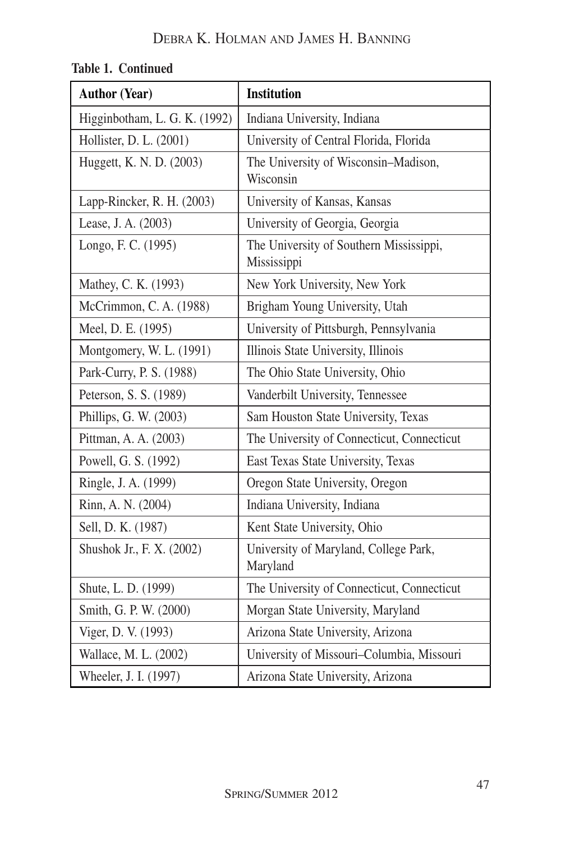| <b>Author (Year)</b>          | <b>Institution</b>                                     |
|-------------------------------|--------------------------------------------------------|
| Higginbotham, L. G. K. (1992) | Indiana University, Indiana                            |
| Hollister, D. L. (2001)       | University of Central Florida, Florida                 |
| Huggett, K. N. D. (2003)      | The University of Wisconsin-Madison,<br>Wisconsin      |
| Lapp-Rincker, R. H. (2003)    | University of Kansas, Kansas                           |
| Lease, J. A. (2003)           | University of Georgia, Georgia                         |
| Longo, F. C. (1995)           | The University of Southern Mississippi,<br>Mississippi |
| Mathey, C. K. (1993)          | New York University, New York                          |
| McCrimmon, C. A. (1988)       | Brigham Young University, Utah                         |
| Meel, D. E. (1995)            | University of Pittsburgh, Pennsylvania                 |
| Montgomery, W. L. (1991)      | Illinois State University, Illinois                    |
| Park-Curry, P. S. (1988)      | The Ohio State University, Ohio                        |
| Peterson, S. S. (1989)        | Vanderbilt University, Tennessee                       |
| Phillips, G. W. (2003)        | Sam Houston State University, Texas                    |
| Pittman, A. A. (2003)         | The University of Connecticut, Connecticut             |
| Powell, G. S. (1992)          | East Texas State University, Texas                     |
| Ringle, J. A. (1999)          | Oregon State University, Oregon                        |
| Rinn, A. N. (2004)            | Indiana University, Indiana                            |
| Sell, D. K. (1987)            | Kent State University, Ohio                            |
| Shushok Jr., F. X. (2002)     | University of Maryland, College Park,<br>Maryland      |
| Shute, L. D. (1999)           | The University of Connecticut, Connecticut             |
| Smith, G. P. W. (2000)        | Morgan State University, Maryland                      |
| Viger, D. V. (1993)           | Arizona State University, Arizona                      |
| Wallace, M. L. (2002)         | University of Missouri-Columbia, Missouri              |
| Wheeler, J. I. (1997)         | Arizona State University, Arizona                      |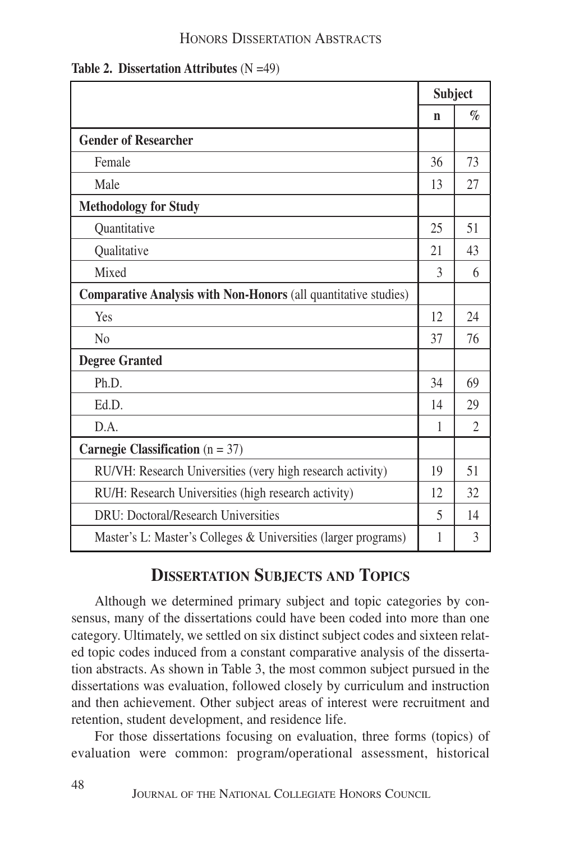#### HONORS DISSERTATION ABSTRACTS

|  | Table 2. Dissertation Attributes $(N = 49)$ |  |  |
|--|---------------------------------------------|--|--|
|--|---------------------------------------------|--|--|

|                                                                 | <b>Subject</b> |                |
|-----------------------------------------------------------------|----------------|----------------|
|                                                                 | n              | $\%$           |
| <b>Gender of Researcher</b>                                     |                |                |
| Female                                                          | 36             | 73             |
| Male                                                            | 13             | 27             |
| <b>Methodology for Study</b>                                    |                |                |
| Quantitative                                                    | 25             | 51             |
| Qualitative                                                     | 21             | 43             |
| Mixed                                                           | $\mathcal{E}$  | 6              |
| Comparative Analysis with Non-Honors (all quantitative studies) |                |                |
| Yes                                                             | 12             | 24             |
| N <sub>0</sub>                                                  | 37             | 76             |
| <b>Degree Granted</b>                                           |                |                |
| Ph.D.                                                           | 34             | 69             |
| Ed.D.                                                           | 14             | 29             |
| D.A.                                                            | 1              | $\overline{2}$ |
| Carnegie Classification ( $n = 37$ )                            |                |                |
| RU/VH: Research Universities (very high research activity)      | 19             | 51             |
| RU/H: Research Universities (high research activity)            |                | 32             |
| DRU: Doctoral/Research Universities                             | 5              | 14             |
| Master's L: Master's Colleges & Universities (larger programs)  | 1              | 3              |

## **DISSERTATION SUBJECTS AND TOPICS**

Although we determined primary subject and topic categories by consensus, many of the dissertations could have been coded into more than one category. Ultimately, we settled on six distinct subject codes and sixteen related topic codes induced from a constant comparative analysis of the dissertation abstracts. As shown in Table 3, the most common subject pursued in the dissertations was evaluation, followed closely by curriculum and instruction and then achievement. Other subject areas of interest were recruitment and retention, student development, and residence life.

For those dissertations focusing on evaluation, three forms (topics) of evaluation were common: program/operational assessment, historical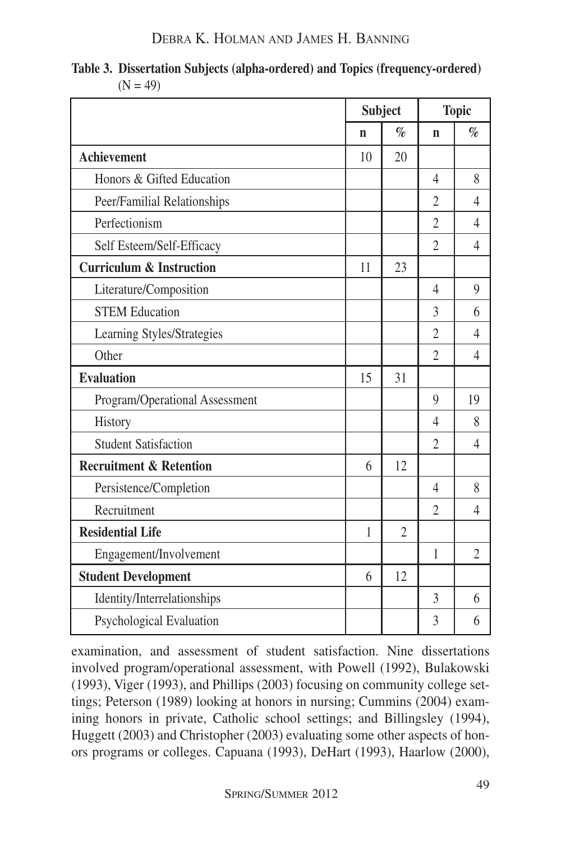| Table 3. Dissertation Subjects (alpha-ordered) and Topics (frequency-ordered) |
|-------------------------------------------------------------------------------|
| $(N = 49)$                                                                    |

|                                     | <b>Subject</b> |                | <b>Topic</b>   |                |
|-------------------------------------|----------------|----------------|----------------|----------------|
|                                     | n              | $\%$           | $\mathbf n$    | $\%$           |
| <b>Achievement</b>                  | 10             | 20             |                |                |
| Honors & Gifted Education           |                |                | 4              | 8              |
| Peer/Familial Relationships         |                |                | 2              | 4              |
| Perfectionism                       |                |                | $\overline{2}$ | 4              |
| Self Esteem/Self-Efficacy           |                |                | $\overline{2}$ | 4              |
| <b>Curriculum &amp; Instruction</b> | 11             | 23             |                |                |
| Literature/Composition              |                |                | 4              | 9              |
| <b>STEM Education</b>               |                |                | 3              | 6              |
| Learning Styles/Strategies          |                |                | $\overline{2}$ | 4              |
| Other                               |                |                | $\overline{2}$ | 4              |
| <b>Evaluation</b>                   | 15             | 31             |                |                |
| Program/Operational Assessment      |                |                | 9              | 19             |
| History                             |                |                | 4              | 8              |
| <b>Student Satisfaction</b>         |                |                | $\overline{2}$ | 4              |
| <b>Recruitment &amp; Retention</b>  | 6              | 12             |                |                |
| Persistence/Completion              |                |                | 4              | 8              |
| Recruitment                         |                |                | $\mathfrak{D}$ | 4              |
| <b>Residential Life</b>             | $\mathbf{1}$   | $\overline{2}$ |                |                |
| Engagement/Involvement              |                |                | 1              | $\overline{2}$ |
| <b>Student Development</b>          |                | 12             |                |                |
| Identity/Interrelationships         |                |                | 3              | 6              |
| Psychological Evaluation            |                |                | 3              | 6              |

examination, and assessment of student satisfaction. Nine dissertations involved program/operational assessment, with Powell (1992), Bulakowski (1993), Viger (1993), and Phillips (2003) focusing on community college settings; Peterson (1989) looking at honors in nursing; Cummins (2004) examining honors in private, Catholic school settings; and Billingsley (1994), Huggett (2003) and Christopher (2003) evaluating some other aspects of honors programs or colleges. Capuana (1993), DeHart (1993), Haarlow (2000),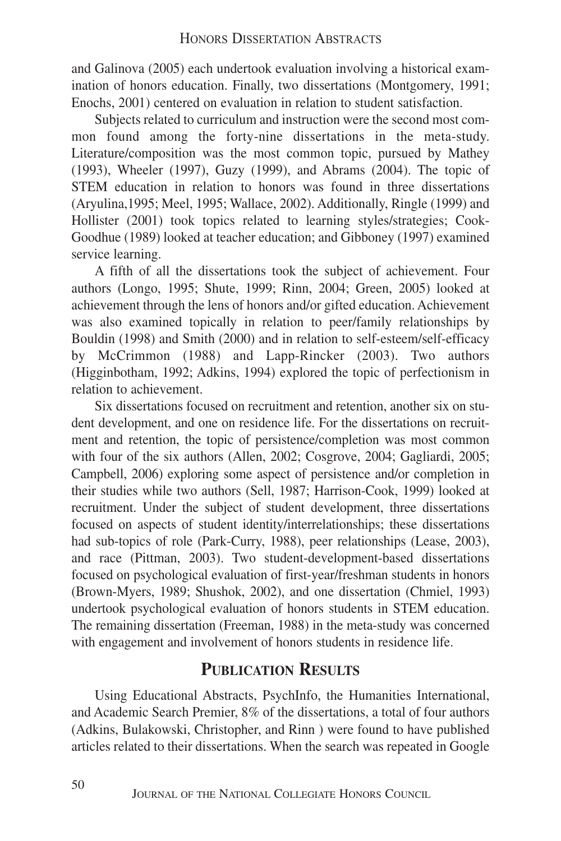and Galinova (2005) each undertook evaluation involving a historical examination of honors education. Finally, two dissertations (Montgomery, 1991; Enochs, 2001) centered on evaluation in relation to student satisfaction.

Subjects related to curriculum and instruction were the second most common found among the forty-nine dissertations in the meta-study. Literature/composition was the most common topic, pursued by Mathey (1993), Wheeler (1997), Guzy (1999), and Abrams (2004). The topic of STEM education in relation to honors was found in three dissertations (Aryulina,1995; Meel, 1995; Wallace, 2002). Additionally, Ringle (1999) and Hollister (2001) took topics related to learning styles/strategies; Cook-Goodhue (1989) looked at teacher education; and Gibboney (1997) examined service learning.

A fifth of all the dissertations took the subject of achievement. Four authors (Longo, 1995; Shute, 1999; Rinn, 2004; Green, 2005) looked at achievement through the lens of honors and/or gifted education. Achievement was also examined topically in relation to peer/family relationships by Bouldin (1998) and Smith (2000) and in relation to self-esteem/self-efficacy by McCrimmon (1988) and Lapp-Rincker (2003). Two authors (Higginbotham, 1992; Adkins, 1994) explored the topic of perfectionism in relation to achievement.

Six dissertations focused on recruitment and retention, another six on student development, and one on residence life. For the dissertations on recruitment and retention, the topic of persistence/completion was most common with four of the six authors (Allen, 2002; Cosgrove, 2004; Gagliardi, 2005; Campbell, 2006) exploring some aspect of persistence and/or completion in their studies while two authors (Sell, 1987; Harrison-Cook, 1999) looked at recruitment. Under the subject of student development, three dissertations focused on aspects of student identity/interrelationships; these dissertations had sub-topics of role (Park-Curry, 1988), peer relationships (Lease, 2003), and race (Pittman, 2003). Two student-development-based dissertations focused on psychological evaluation of first-year/freshman students in honors (Brown-Myers, 1989; Shushok, 2002), and one dissertation (Chmiel, 1993) undertook psychological evaluation of honors students in STEM education. The remaining dissertation (Freeman, 1988) in the meta-study was concerned with engagement and involvement of honors students in residence life.

## **PUBLICATION RESULTS**

Using Educational Abstracts, PsychInfo, the Humanities International, and Academic Search Premier, 8% of the dissertations, a total of four authors (Adkins, Bulakowski, Christopher, and Rinn ) were found to have published articles related to their dissertations. When the search was repeated in Google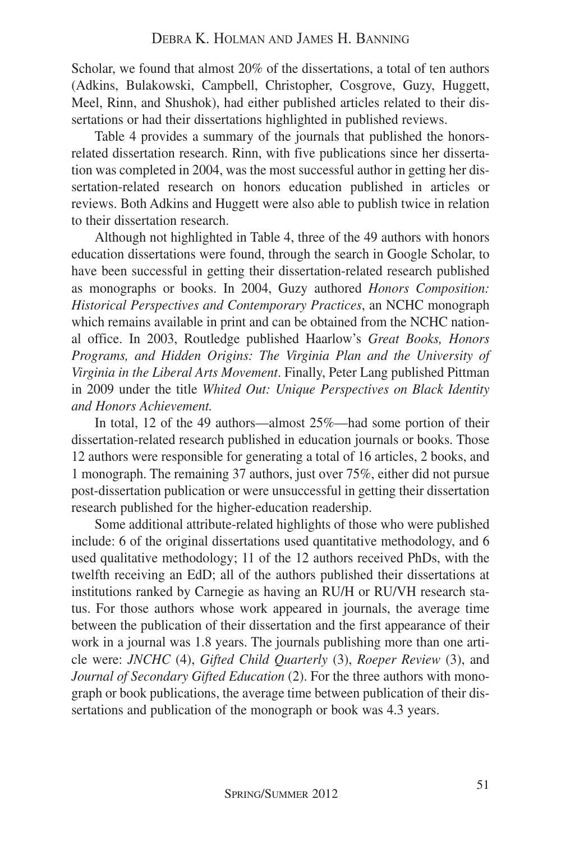Scholar, we found that almost 20% of the dissertations, a total of ten authors (Adkins, Bulakowski, Campbell, Christopher, Cosgrove, Guzy, Huggett, Meel, Rinn, and Shushok), had either published articles related to their dissertations or had their dissertations highlighted in published reviews.

Table 4 provides a summary of the journals that published the honorsrelated dissertation research. Rinn, with five publications since her dissertation was completed in 2004, was the most successful author in getting her dissertation-related research on honors education published in articles or reviews. Both Adkins and Huggett were also able to publish twice in relation to their dissertation research.

Although not highlighted in Table 4, three of the 49 authors with honors education dissertations were found, through the search in Google Scholar, to have been successful in getting their dissertation-related research published as monographs or books. In 2004, Guzy authored *Honors Composition: Historical Perspectives and Contemporary Practices*, an NCHC monograph which remains available in print and can be obtained from the NCHC national office. In 2003, Routledge published Haarlow's *Great Books, Honors Programs, and Hidden Origins: The Virginia Plan and the University of Virginia in the Liberal Arts Movement*. Finally, Peter Lang published Pittman in 2009 under the title *Whited Out: Unique Perspectives on Black Identity and Honors Achievement.*

In total, 12 of the 49 authors—almost 25%—had some portion of their dissertation-related research published in education journals or books. Those 12 authors were responsible for generating a total of 16 articles, 2 books, and 1 monograph. The remaining 37 authors, just over 75%, either did not pursue post-dissertation publication or were unsuccessful in getting their dissertation research published for the higher-education readership.

Some additional attribute-related highlights of those who were published include: 6 of the original dissertations used quantitative methodology, and 6 used qualitative methodology; 11 of the 12 authors received PhDs, with the twelfth receiving an EdD; all of the authors published their dissertations at institutions ranked by Carnegie as having an RU/H or RU/VH research status. For those authors whose work appeared in journals, the average time between the publication of their dissertation and the first appearance of their work in a journal was 1.8 years. The journals publishing more than one article were: *JNCHC* (4), *Gifted Child Quarterly* (3), *Roeper Review* (3), and *Journal of Secondary Gifted Education* (2). For the three authors with monograph or book publications, the average time between publication of their dissertations and publication of the monograph or book was 4.3 years.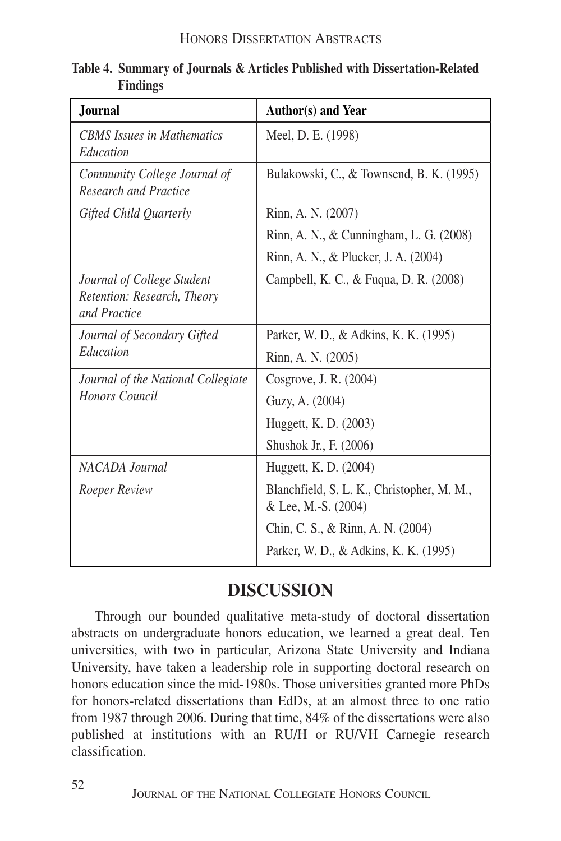| <b>Journal</b>                                                            | Author(s) and Year                                                |
|---------------------------------------------------------------------------|-------------------------------------------------------------------|
| <b>CBMS</b> Issues in Mathematics<br>Education                            | Meel, D. E. (1998)                                                |
| Community College Journal of<br><b>Research and Practice</b>              | Bulakowski, C., & Townsend, B. K. (1995)                          |
| Gifted Child Quarterly                                                    | Rinn, A. N. (2007)                                                |
|                                                                           | Rinn, A. N., & Cunningham, L. G. (2008)                           |
|                                                                           | Rinn, A. N., & Plucker, J. A. (2004)                              |
| Journal of College Student<br>Retention: Research, Theory<br>and Practice | Campbell, K. C., & Fuqua, D. R. (2008)                            |
| Journal of Secondary Gifted                                               | Parker, W. D., & Adkins, K. K. (1995)                             |
| Education                                                                 | Rinn, A. N. (2005)                                                |
| Journal of the National Collegiate                                        | Cosgrove, J. R. (2004)                                            |
| <b>Honors Council</b>                                                     | Guzy, A. (2004)                                                   |
|                                                                           | Huggett, K. D. (2003)                                             |
|                                                                           | Shushok Jr., F. (2006)                                            |
| NACADA Journal                                                            | Huggett, K. D. (2004)                                             |
| Roeper Review                                                             | Blanchfield, S. L. K., Christopher, M. M.,<br>& Lee, M.-S. (2004) |
|                                                                           | Chin, C. S., & Rinn, A. N. (2004)                                 |
|                                                                           | Parker, W. D., & Adkins, K. K. (1995)                             |

#### **Table 4. Summary of Journals & Articles Published with Dissertation-Related Findings**

# **DISCUSSION**

Through our bounded qualitative meta-study of doctoral dissertation abstracts on undergraduate honors education, we learned a great deal. Ten universities, with two in particular, Arizona State University and Indiana University, have taken a leadership role in supporting doctoral research on honors education since the mid-1980s. Those universities granted more PhDs for honors-related dissertations than EdDs, at an almost three to one ratio from 1987 through 2006. During that time, 84% of the dissertations were also published at institutions with an RU/H or RU/VH Carnegie research classification.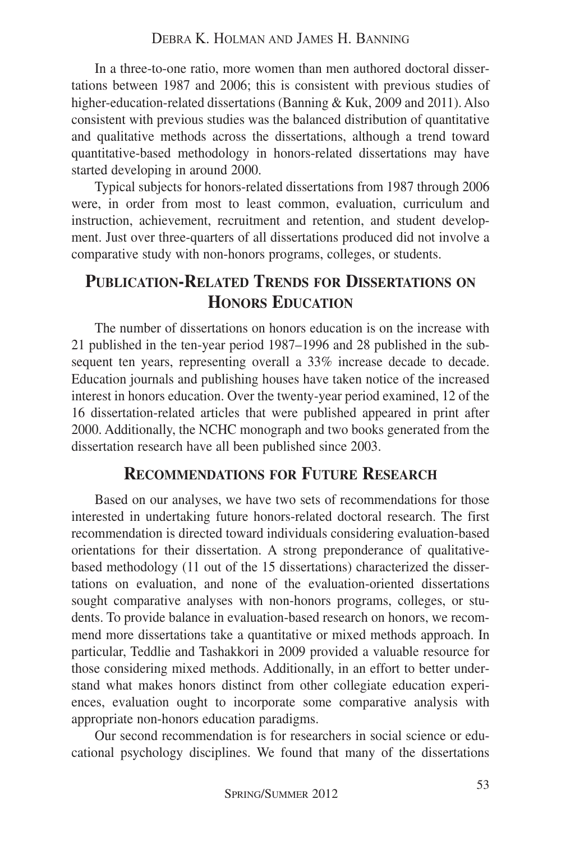In a three-to-one ratio, more women than men authored doctoral dissertations between 1987 and 2006; this is consistent with previous studies of higher-education-related dissertations (Banning & Kuk, 2009 and 2011). Also consistent with previous studies was the balanced distribution of quantitative and qualitative methods across the dissertations, although a trend toward quantitative-based methodology in honors-related dissertations may have started developing in around 2000.

Typical subjects for honors-related dissertations from 1987 through 2006 were, in order from most to least common, evaluation, curriculum and instruction, achievement, recruitment and retention, and student development. Just over three-quarters of all dissertations produced did not involve a comparative study with non-honors programs, colleges, or students.

## **PUBLICATION-RELATED TRENDS FOR DISSERTATIONS ON HONORS EDUCATION**

The number of dissertations on honors education is on the increase with 21 published in the ten-year period 1987–1996 and 28 published in the subsequent ten years, representing overall a 33% increase decade to decade. Education journals and publishing houses have taken notice of the increased interest in honors education. Over the twenty-year period examined, 12 of the 16 dissertation-related articles that were published appeared in print after 2000. Additionally, the NCHC monograph and two books generated from the dissertation research have all been published since 2003.

#### **RECOMMENDATIONS FOR FUTURE RESEARCH**

Based on our analyses, we have two sets of recommendations for those interested in undertaking future honors-related doctoral research. The first recommendation is directed toward individuals considering evaluation-based orientations for their dissertation. A strong preponderance of qualitativebased methodology (11 out of the 15 dissertations) characterized the dissertations on evaluation, and none of the evaluation-oriented dissertations sought comparative analyses with non-honors programs, colleges, or students. To provide balance in evaluation-based research on honors, we recommend more dissertations take a quantitative or mixed methods approach. In particular, Teddlie and Tashakkori in 2009 provided a valuable resource for those considering mixed methods. Additionally, in an effort to better understand what makes honors distinct from other collegiate education experiences, evaluation ought to incorporate some comparative analysis with appropriate non-honors education paradigms.

Our second recommendation is for researchers in social science or educational psychology disciplines. We found that many of the dissertations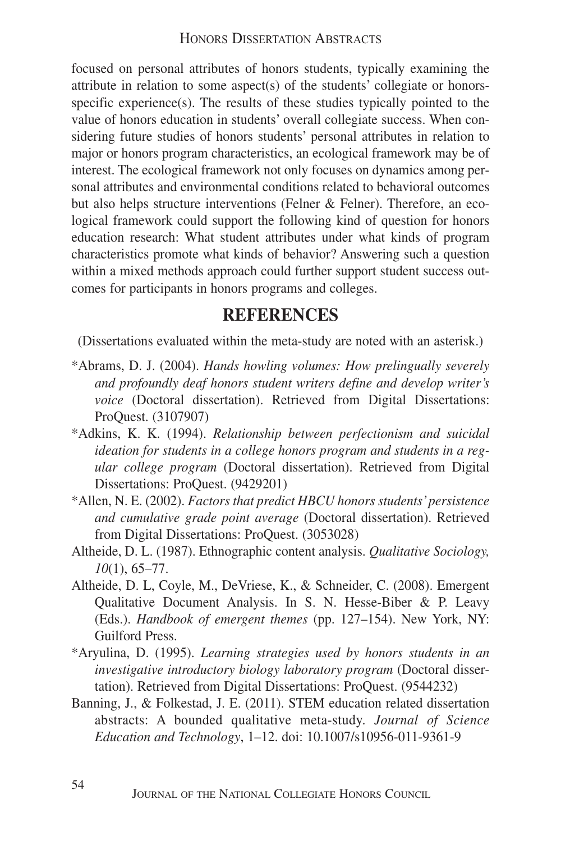focused on personal attributes of honors students, typically examining the attribute in relation to some aspect(s) of the students' collegiate or honorsspecific experience(s). The results of these studies typically pointed to the value of honors education in students' overall collegiate success. When considering future studies of honors students' personal attributes in relation to major or honors program characteristics, an ecological framework may be of interest. The ecological framework not only focuses on dynamics among personal attributes and environmental conditions related to behavioral outcomes but also helps structure interventions (Felner & Felner). Therefore, an ecological framework could support the following kind of question for honors education research: What student attributes under what kinds of program characteristics promote what kinds of behavior? Answering such a question within a mixed methods approach could further support student success outcomes for participants in honors programs and colleges.

## **REFERENCES**

(Dissertations evaluated within the meta-study are noted with an asterisk.)

- \*Abrams, D. J. (2004). *Hands howling volumes: How prelingually severely and profoundly deaf honors student writers define and develop writer's voice* (Doctoral dissertation). Retrieved from Digital Dissertations: ProQuest. (3107907)
- \*Adkins, K. K. (1994). *Relationship between perfectionism and suicidal ideation for students in a college honors program and students in a regular college program* (Doctoral dissertation). Retrieved from Digital Dissertations: ProQuest. (9429201)
- \*Allen, N. E. (2002). *Factors that predict HBCU honors students'persistence and cumulative grade point average* (Doctoral dissertation). Retrieved from Digital Dissertations: ProQuest. (3053028)
- Altheide, D. L. (1987). Ethnographic content analysis. *Qualitative Sociology, 10*(1), 65–77.
- Altheide, D. L, Coyle, M., DeVriese, K., & Schneider, C. (2008). Emergent Qualitative Document Analysis. In S. N. Hesse-Biber & P. Leavy (Eds.). *Handbook of emergent themes* (pp. 127–154). New York, NY: Guilford Press.
- \*Aryulina, D. (1995). *Learning strategies used by honors students in an investigative introductory biology laboratory program* (Doctoral dissertation). Retrieved from Digital Dissertations: ProQuest. (9544232)
- Banning, J., & Folkestad, J. E. (2011). STEM education related dissertation abstracts: A bounded qualitative meta-study. *Journal of Science Education and Technology*, 1–12. doi: 10.1007/s10956-011-9361-9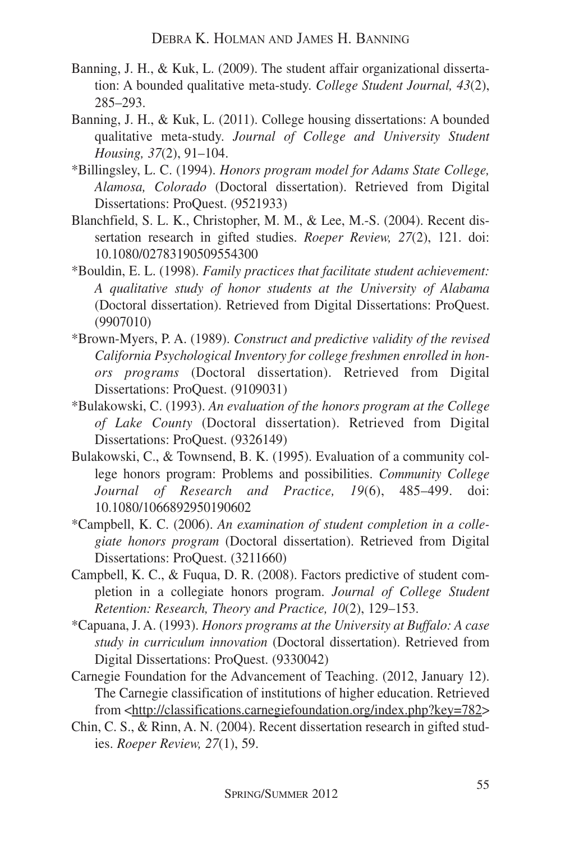- Banning, J. H., & Kuk, L. (2009). The student affair organizational dissertation: A bounded qualitative meta-study. *College Student Journal, 43*(2), 285–293.
- Banning, J. H., & Kuk, L. (2011). College housing dissertations: A bounded qualitative meta-study. *Journal of College and University Student Housing, 37*(2), 91–104.
- \*Billingsley, L. C. (1994). *Honors program model for Adams State College, Alamosa, Colorado* (Doctoral dissertation). Retrieved from Digital Dissertations: ProQuest. (9521933)
- Blanchfield, S. L. K., Christopher, M. M., & Lee, M.-S. (2004). Recent dissertation research in gifted studies. *Roeper Review, 27*(2), 121. doi: 10.1080/02783190509554300
- \*Bouldin, E. L. (1998). *Family practices that facilitate student achievement: A qualitative study of honor students at the University of Alabama* (Doctoral dissertation). Retrieved from Digital Dissertations: ProQuest. (9907010)
- \*Brown-Myers, P. A. (1989). *Construct and predictive validity of the revised California Psychological Inventory for college freshmen enrolled in honors programs* (Doctoral dissertation). Retrieved from Digital Dissertations: ProQuest. (9109031)
- \*Bulakowski, C. (1993). *An evaluation of the honors program at the College of Lake County* (Doctoral dissertation). Retrieved from Digital Dissertations: ProQuest. (9326149)
- Bulakowski, C., & Townsend, B. K. (1995). Evaluation of a community college honors program: Problems and possibilities. *Community College Journal of Research and Practice, 19*(6), 485–499. doi: 10.1080/1066892950190602
- \*Campbell, K. C. (2006). *An examination of student completion in a collegiate honors program* (Doctoral dissertation). Retrieved from Digital Dissertations: ProQuest. (3211660)
- Campbell, K. C., & Fuqua, D. R. (2008). Factors predictive of student completion in a collegiate honors program. *Journal of College Student Retention: Research, Theory and Practice, 10*(2), 129–153.
- \*Capuana, J. A. (1993). *Honors programs at the University at Buffalo: A case study in curriculum innovation* (Doctoral dissertation). Retrieved from Digital Dissertations: ProQuest. (9330042)
- Carnegie Foundation for the Advancement of Teaching. (2012, January 12). The Carnegie classification of institutions of higher education. Retrieved from <http://classifications.carnegiefoundation.org/index.php?key=782>
- Chin, C. S., & Rinn, A. N. (2004). Recent dissertation research in gifted studies. *Roeper Review, 27*(1), 59.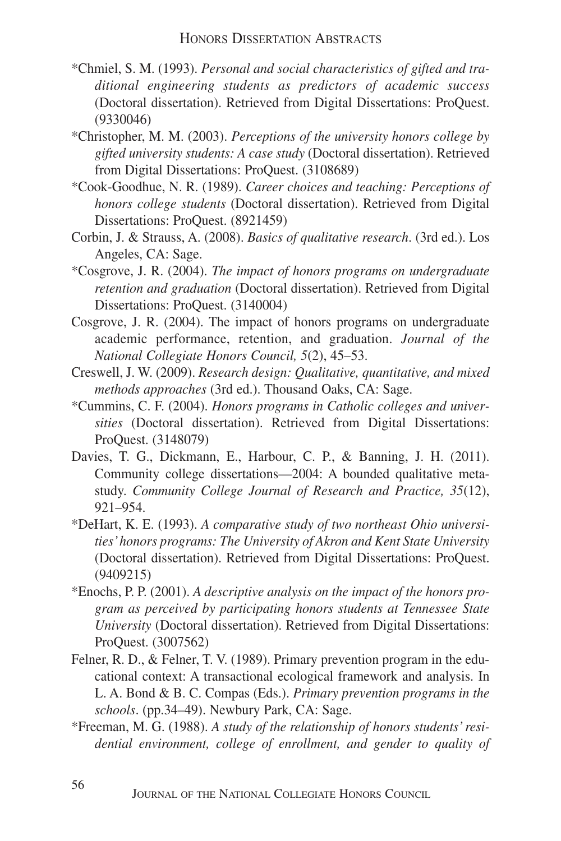- \*Chmiel, S. M. (1993). *Personal and social characteristics of gifted and traditional engineering students as predictors of academic success* (Doctoral dissertation). Retrieved from Digital Dissertations: ProQuest. (9330046)
- \*Christopher, M. M. (2003). *Perceptions of the university honors college by gifted university students: A case study* (Doctoral dissertation). Retrieved from Digital Dissertations: ProQuest. (3108689)
- \*Cook-Goodhue, N. R. (1989). *Career choices and teaching: Perceptions of honors college students* (Doctoral dissertation). Retrieved from Digital Dissertations: ProQuest. (8921459)
- Corbin, J. & Strauss, A. (2008). *Basics of qualitative research*. (3rd ed.). Los Angeles, CA: Sage.
- \*Cosgrove, J. R. (2004). *The impact of honors programs on undergraduate retention and graduation* (Doctoral dissertation). Retrieved from Digital Dissertations: ProQuest. (3140004)
- Cosgrove, J. R. (2004). The impact of honors programs on undergraduate academic performance, retention, and graduation. *Journal of the National Collegiate Honors Council, 5*(2), 45–53.
- Creswell, J. W. (2009). *Research design: Qualitative, quantitative, and mixed methods approaches* (3rd ed.). Thousand Oaks, CA: Sage.
- \*Cummins, C. F. (2004). *Honors programs in Catholic colleges and universities* (Doctoral dissertation). Retrieved from Digital Dissertations: ProQuest. (3148079)
- Davies, T. G., Dickmann, E., Harbour, C. P., & Banning, J. H. (2011). Community college dissertations—2004: A bounded qualitative metastudy. *Community College Journal of Research and Practice, 35*(12), 921–954.
- \*DeHart, K. E. (1993). *A comparative study of two northeast Ohio universities'honors programs: The University of Akron and Kent State University* (Doctoral dissertation). Retrieved from Digital Dissertations: ProQuest. (9409215)
- \*Enochs, P. P. (2001). *A descriptive analysis on the impact of the honors program as perceived by participating honors students at Tennessee State University* (Doctoral dissertation). Retrieved from Digital Dissertations: ProQuest. (3007562)
- Felner, R. D., & Felner, T. V. (1989). Primary prevention program in the educational context: A transactional ecological framework and analysis. In L. A. Bond & B. C. Compas (Eds.). *Primary prevention programs in the schools*. (pp.34–49). Newbury Park, CA: Sage.
- \*Freeman, M. G. (1988). *A study of the relationship of honors students' residential environment, college of enrollment, and gender to quality of*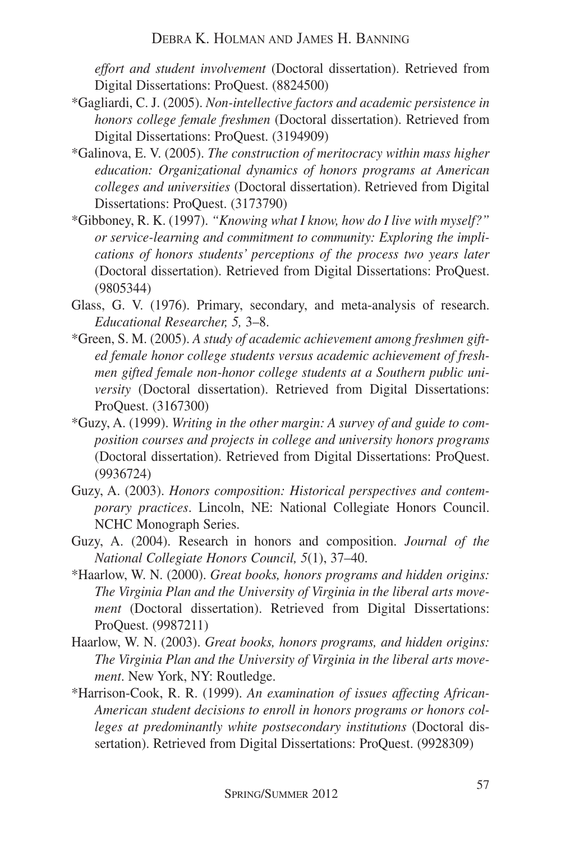*effort and student involvement* (Doctoral dissertation). Retrieved from Digital Dissertations: ProQuest. (8824500)

- \*Gagliardi, C. J. (2005). *Non-intellective factors and academic persistence in honors college female freshmen* (Doctoral dissertation). Retrieved from Digital Dissertations: ProQuest. (3194909)
- \*Galinova, E. V. (2005). *The construction of meritocracy within mass higher education: Organizational dynamics of honors programs at American colleges and universities* (Doctoral dissertation). Retrieved from Digital Dissertations: ProQuest. (3173790)
- \*Gibboney, R. K. (1997). *"Knowing what I know, how do I live with myself?" or service-learning and commitment to community: Exploring the implications of honors students' perceptions of the process two years later* (Doctoral dissertation). Retrieved from Digital Dissertations: ProQuest. (9805344)
- Glass, G. V. (1976). Primary, secondary, and meta-analysis of research. *Educational Researcher, 5,* 3–8.
- \*Green, S. M. (2005). *A study of academic achievement among freshmen gifted female honor college students versus academic achievement of freshmen gifted female non-honor college students at a Southern public university* (Doctoral dissertation). Retrieved from Digital Dissertations: ProQuest. (3167300)
- \*Guzy, A. (1999). *Writing in the other margin: A survey of and guide to composition courses and projects in college and university honors programs* (Doctoral dissertation). Retrieved from Digital Dissertations: ProQuest. (9936724)
- Guzy, A. (2003). *Honors composition: Historical perspectives and contemporary practices*. Lincoln, NE: National Collegiate Honors Council. NCHC Monograph Series.
- Guzy, A. (2004). Research in honors and composition. *Journal of the National Collegiate Honors Council, 5*(1), 37–40.
- \*Haarlow, W. N. (2000). *Great books, honors programs and hidden origins: The Virginia Plan and the University of Virginia in the liberal arts movement* (Doctoral dissertation). Retrieved from Digital Dissertations: ProQuest. (9987211)
- Haarlow, W. N. (2003). *Great books, honors programs, and hidden origins: The Virginia Plan and the University of Virginia in the liberal arts movement*. New York, NY: Routledge.
- \*Harrison-Cook, R. R. (1999). *An examination of issues affecting African-American student decisions to enroll in honors programs or honors colleges at predominantly white postsecondary institutions* (Doctoral dissertation). Retrieved from Digital Dissertations: ProQuest. (9928309)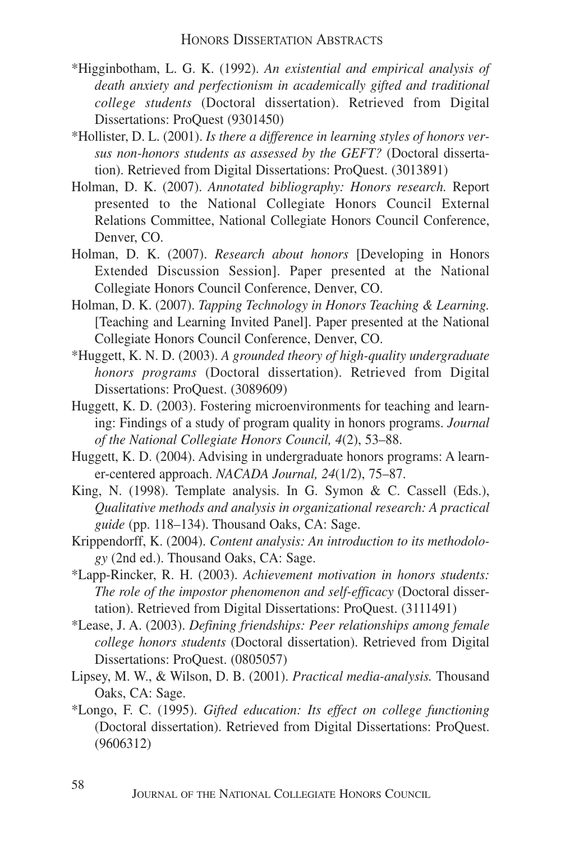- \*Higginbotham, L. G. K. (1992). *An existential and empirical analysis of death anxiety and perfectionism in academically gifted and traditional college students* (Doctoral dissertation). Retrieved from Digital Dissertations: ProQuest (9301450)
- \*Hollister, D. L. (2001). *Is there a difference in learning styles of honors versus non-honors students as assessed by the GEFT?* (Doctoral dissertation). Retrieved from Digital Dissertations: ProQuest. (3013891)
- Holman, D. K. (2007). *Annotated bibliography: Honors research.* Report presented to the National Collegiate Honors Council External Relations Committee, National Collegiate Honors Council Conference, Denver, CO.
- Holman, D. K. (2007). *Research about honors* [Developing in Honors Extended Discussion Session]. Paper presented at the National Collegiate Honors Council Conference, Denver, CO.
- Holman, D. K. (2007). *Tapping Technology in Honors Teaching & Learning.* [Teaching and Learning Invited Panel]. Paper presented at the National Collegiate Honors Council Conference, Denver, CO.
- \*Huggett, K. N. D. (2003). *A grounded theory of high-quality undergraduate honors programs* (Doctoral dissertation). Retrieved from Digital Dissertations: ProQuest. (3089609)
- Huggett, K. D. (2003). Fostering microenvironments for teaching and learning: Findings of a study of program quality in honors programs. *Journal of the National Collegiate Honors Council, 4*(2), 53–88.
- Huggett, K. D. (2004). Advising in undergraduate honors programs: A learner-centered approach. *NACADA Journal, 24*(1/2), 75–87.
- King, N. (1998). Template analysis. In G. Symon & C. Cassell (Eds.), *Qualitative methods and analysis in organizational research: A practical guide* (pp. 118–134). Thousand Oaks, CA: Sage.
- Krippendorff, K. (2004). *Content analysis: An introduction to its methodology* (2nd ed.). Thousand Oaks, CA: Sage.
- \*Lapp-Rincker, R. H. (2003). *Achievement motivation in honors students: The role of the impostor phenomenon and self-efficacy* (Doctoral dissertation). Retrieved from Digital Dissertations: ProQuest. (3111491)
- \*Lease, J. A. (2003). *Defining friendships: Peer relationships among female college honors students* (Doctoral dissertation). Retrieved from Digital Dissertations: ProQuest. (0805057)
- Lipsey, M. W., & Wilson, D. B. (2001). *Practical media-analysis.* Thousand Oaks, CA: Sage.
- \*Longo, F. C. (1995). *Gifted education: Its effect on college functioning* (Doctoral dissertation). Retrieved from Digital Dissertations: ProQuest. (9606312)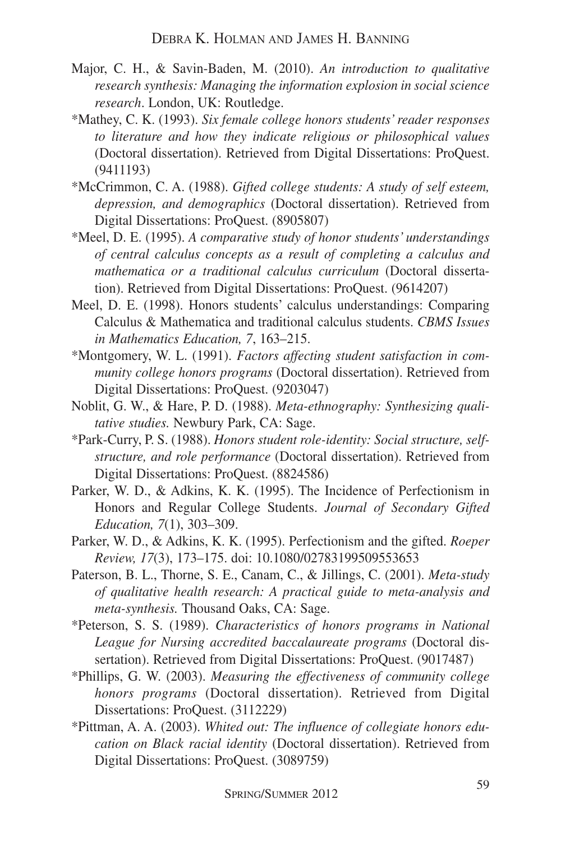- Major, C. H., & Savin-Baden, M. (2010). *An introduction to qualitative research synthesis: Managing the information explosion in social science research*. London, UK: Routledge.
- \*Mathey, C. K. (1993). *Six female college honors students' reader responses to literature and how they indicate religious or philosophical values* (Doctoral dissertation). Retrieved from Digital Dissertations: ProQuest. (9411193)
- \*McCrimmon, C. A. (1988). *Gifted college students: A study of self esteem, depression, and demographics* (Doctoral dissertation). Retrieved from Digital Dissertations: ProQuest. (8905807)
- \*Meel, D. E. (1995). *A comparative study of honor students' understandings of central calculus concepts as a result of completing a calculus and mathematica or a traditional calculus curriculum* (Doctoral dissertation). Retrieved from Digital Dissertations: ProQuest. (9614207)
- Meel, D. E. (1998). Honors students' calculus understandings: Comparing Calculus & Mathematica and traditional calculus students. *CBMS Issues in Mathematics Education, 7*, 163–215.
- \*Montgomery, W. L. (1991). *Factors affecting student satisfaction in community college honors programs* (Doctoral dissertation). Retrieved from Digital Dissertations: ProQuest. (9203047)
- Noblit, G. W., & Hare, P. D. (1988). *Meta-ethnography: Synthesizing qualitative studies.* Newbury Park, CA: Sage.
- \*Park-Curry, P. S. (1988). *Honors student role-identity: Social structure, selfstructure, and role performance* (Doctoral dissertation). Retrieved from Digital Dissertations: ProQuest. (8824586)
- Parker, W. D., & Adkins, K. K. (1995). The Incidence of Perfectionism in Honors and Regular College Students. *Journal of Secondary Gifted Education, 7*(1), 303–309.
- Parker, W. D., & Adkins, K. K. (1995). Perfectionism and the gifted. *Roeper Review, 17*(3), 173–175. doi: 10.1080/02783199509553653
- Paterson, B. L., Thorne, S. E., Canam, C., & Jillings, C. (2001). *Meta-study of qualitative health research: A practical guide to meta-analysis and meta-synthesis.* Thousand Oaks, CA: Sage.
- \*Peterson, S. S. (1989). *Characteristics of honors programs in National League for Nursing accredited baccalaureate programs* (Doctoral dissertation). Retrieved from Digital Dissertations: ProQuest. (9017487)
- \*Phillips, G. W. (2003). *Measuring the effectiveness of community college honors programs* (Doctoral dissertation). Retrieved from Digital Dissertations: ProQuest. (3112229)
- \*Pittman, A. A. (2003). *Whited out: The influence of collegiate honors education on Black racial identity* (Doctoral dissertation). Retrieved from Digital Dissertations: ProQuest. (3089759)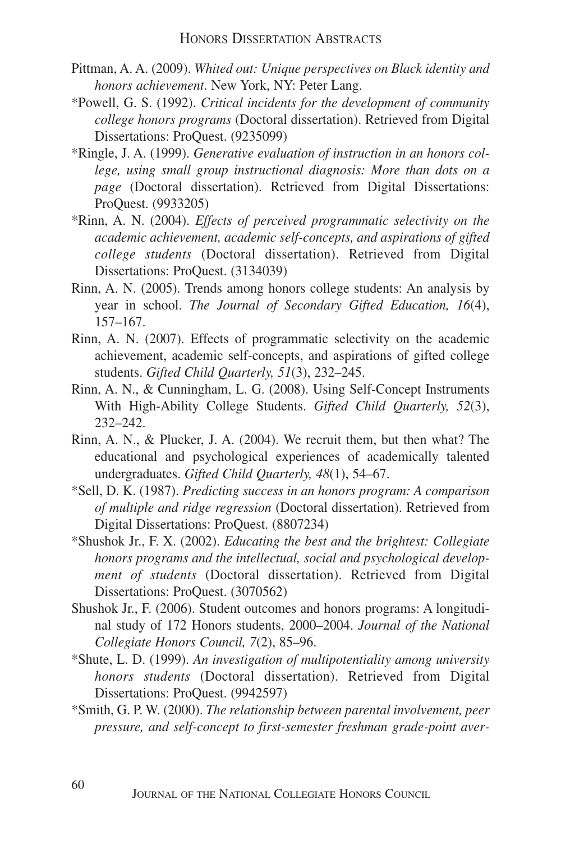- Pittman, A. A. (2009). *Whited out: Unique perspectives on Black identity and honors achievement*. New York, NY: Peter Lang.
- \*Powell, G. S. (1992). *Critical incidents for the development of community college honors programs* (Doctoral dissertation). Retrieved from Digital Dissertations: ProQuest. (9235099)
- \*Ringle, J. A. (1999). *Generative evaluation of instruction in an honors college, using small group instructional diagnosis: More than dots on a page* (Doctoral dissertation). Retrieved from Digital Dissertations: ProQuest. (9933205)
- \*Rinn, A. N. (2004). *Effects of perceived programmatic selectivity on the academic achievement, academic self-concepts, and aspirations of gifted college students* (Doctoral dissertation). Retrieved from Digital Dissertations: ProQuest. (3134039)
- Rinn, A. N. (2005). Trends among honors college students: An analysis by year in school. *The Journal of Secondary Gifted Education, 16*(4), 157–167.
- Rinn, A. N. (2007). Effects of programmatic selectivity on the academic achievement, academic self-concepts, and aspirations of gifted college students. *Gifted Child Quarterly, 51*(3), 232–245.
- Rinn, A. N., & Cunningham, L. G. (2008). Using Self-Concept Instruments With High-Ability College Students. *Gifted Child Quarterly, 52*(3), 232–242.
- Rinn, A. N., & Plucker, J. A. (2004). We recruit them, but then what? The educational and psychological experiences of academically talented undergraduates. *Gifted Child Quarterly, 48*(1), 54–67.
- \*Sell, D. K. (1987). *Predicting success in an honors program: A comparison of multiple and ridge regression* (Doctoral dissertation). Retrieved from Digital Dissertations: ProQuest. (8807234)
- \*Shushok Jr., F. X. (2002). *Educating the best and the brightest: Collegiate honors programs and the intellectual, social and psychological development of students* (Doctoral dissertation). Retrieved from Digital Dissertations: ProQuest. (3070562)
- Shushok Jr., F. (2006). Student outcomes and honors programs: A longitudinal study of 172 Honors students, 2000–2004. *Journal of the National Collegiate Honors Council, 7*(2), 85–96.
- \*Shute, L. D. (1999). *An investigation of multipotentiality among university honors students* (Doctoral dissertation). Retrieved from Digital Dissertations: ProQuest. (9942597)
- \*Smith, G. P. W. (2000). *The relationship between parental involvement, peer pressure, and self-concept to first-semester freshman grade-point aver-*